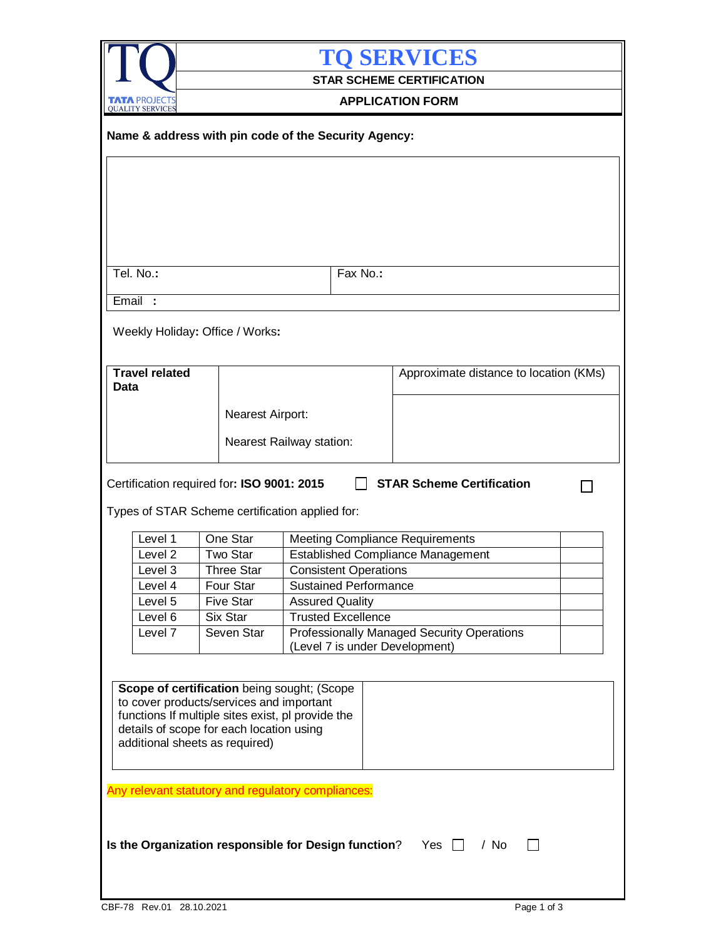| <b>TO SERVICES</b><br><b>STAR SCHEME CERTIFICATION</b><br><b>APPLICATION FORM</b><br>Name & address with pin code of the Security Agency: |  |
|-------------------------------------------------------------------------------------------------------------------------------------------|--|
|                                                                                                                                           |  |
|                                                                                                                                           |  |
|                                                                                                                                           |  |
|                                                                                                                                           |  |
|                                                                                                                                           |  |
|                                                                                                                                           |  |
|                                                                                                                                           |  |
|                                                                                                                                           |  |
|                                                                                                                                           |  |
|                                                                                                                                           |  |
| Tel. No.:<br>Fax No.:                                                                                                                     |  |
|                                                                                                                                           |  |
| Email:                                                                                                                                    |  |
|                                                                                                                                           |  |
| Weekly Holiday: Office / Works:                                                                                                           |  |
|                                                                                                                                           |  |
| <b>Travel related</b><br>Approximate distance to location (KMs)                                                                           |  |
| Data                                                                                                                                      |  |
| Nearest Airport:                                                                                                                          |  |
|                                                                                                                                           |  |
| Nearest Railway station:                                                                                                                  |  |
|                                                                                                                                           |  |
| Types of STAR Scheme certification applied for:                                                                                           |  |
| One Star<br>Level 1<br><b>Meeting Compliance Requirements</b>                                                                             |  |
| <b>Established Compliance Management</b><br>Level 2<br><b>Two Star</b>                                                                    |  |
| Three Star<br>Level 3<br><b>Consistent Operations</b>                                                                                     |  |
| Four Star<br><b>Sustained Performance</b><br>Level 4<br>Level 5<br><b>Five Star</b><br><b>Assured Quality</b>                             |  |
| Six Star<br><b>Trusted Excellence</b><br>Level 6                                                                                          |  |
| Level 7<br>Professionally Managed Security Operations<br>Seven Star<br>(Level 7 is under Development)                                     |  |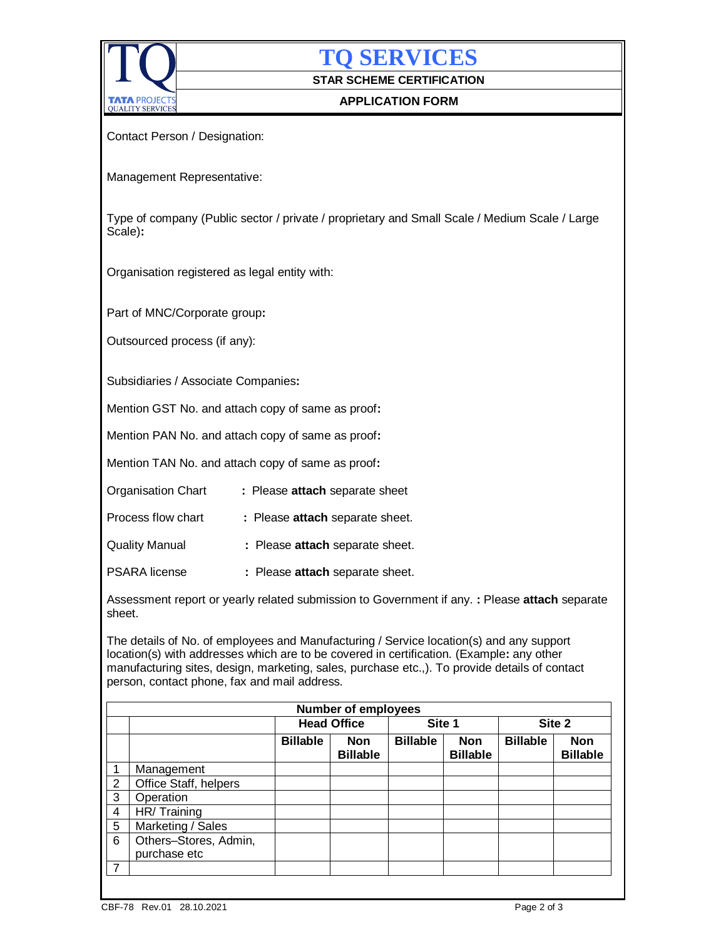

**TQ SERVICES**

**STAR SCHEME CERTIFICATION**

## **APPLICATION FORM**

Contact Person / Designation:

Management Representative:

Type of company (Public sector / private / proprietary and Small Scale / Medium Scale / Large Scale)**:**

Organisation registered as legal entity with:

Part of MNC/Corporate group**:**

Outsourced process (if any):

Subsidiaries / Associate Companies**:**

Mention GST No. and attach copy of same as proof**:**

Mention PAN No. and attach copy of same as proof**:**

Mention TAN No. and attach copy of same as proof**:**

|  | <b>Organisation Chart</b> |  | : Please attach separate sheet |  |
|--|---------------------------|--|--------------------------------|--|
|--|---------------------------|--|--------------------------------|--|

| Process flow chart |  |  |  | : Please attach separate sheet. |
|--------------------|--|--|--|---------------------------------|
|--------------------|--|--|--|---------------------------------|

Quality Manual **:** Please **attach** separate sheet.

PSARA license **:** Please **attach** separate sheet.

Assessment report or yearly related submission to Government if any. **:** Please **attach** separate sheet.

The details of No. of employees and Manufacturing / Service location(s) and any support location(s) with addresses which are to be covered in certification. (Example**:** any other manufacturing sites, design, marketing, sales, purchase etc.,). To provide details of contact person, contact phone, fax and mail address.

| <b>Number of employees</b> |                                       |                 |                        |                 |                               |                 |                               |  |
|----------------------------|---------------------------------------|-----------------|------------------------|-----------------|-------------------------------|-----------------|-------------------------------|--|
|                            |                                       |                 | <b>Head Office</b>     |                 | Site 1                        | Site 2          |                               |  |
|                            |                                       | <b>Billable</b> | Non<br><b>Billable</b> | <b>Billable</b> | <b>Non</b><br><b>Billable</b> | <b>Billable</b> | <b>Non</b><br><b>Billable</b> |  |
| 1                          | Management                            |                 |                        |                 |                               |                 |                               |  |
| $\overline{2}$             | Office Staff, helpers                 |                 |                        |                 |                               |                 |                               |  |
| 3                          | Operation                             |                 |                        |                 |                               |                 |                               |  |
| $\overline{4}$             | HR/Training                           |                 |                        |                 |                               |                 |                               |  |
| 5                          | Marketing / Sales                     |                 |                        |                 |                               |                 |                               |  |
| 6                          | Others-Stores, Admin,<br>purchase etc |                 |                        |                 |                               |                 |                               |  |
| $\overline{7}$             |                                       |                 |                        |                 |                               |                 |                               |  |